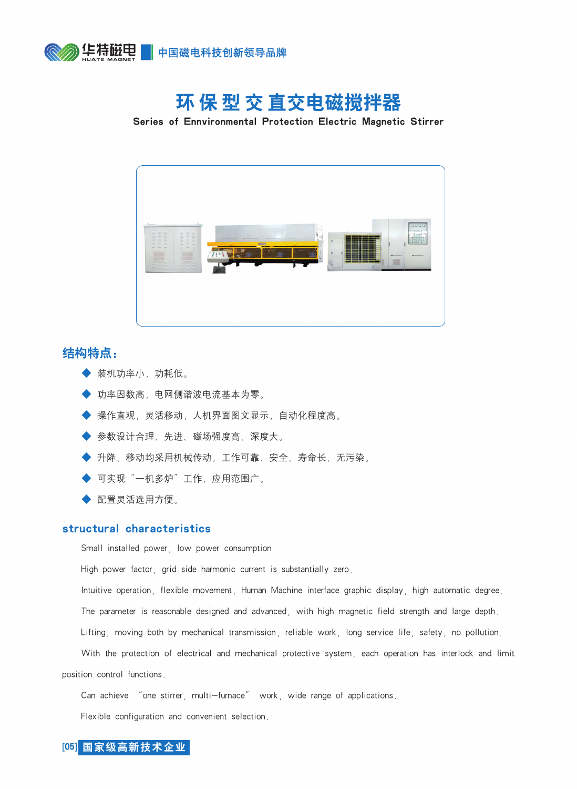

## 环 保 型 交 直交电磁搅拌器

Series of Ennvironmental Protection Electric Magnetic Stirrer



## 结构特点:

- ◆ 装机功率小, 功耗低。
- 功率因数高,电网侧谐波电流基本为零。
- 操作直观,灵活移动,人机界面图文显示,自动化程度高。
- ◆ 参数设计合理、先进、磁场强度高、深度大。
- 升降、移动均采用机械传动,工作可靠、安全、寿命长、无污染。
- 可实现"一机多炉"工作,应用范围广。
- ◆ 配置灵活选用方便。

## structural characteristics

Small installed power, low power consumption

High power factor, grid side harmonic current is substantially zero.

Intuitive operation, flexible movement, Human Machine interface graphic display, high automatic degree.

The parameter is reasonable designed and advanced, with high magnetic field strength and large depth.

Lifting, moving both by mechanical transmission, reliable work, long service life, safety, no pollution.

With the protection of electrical and mechanical protective system, each operation has interlock and limit position control functions.

Can achieve "one stirrer, multi-furnace" work, wide range of applications.

Flexible configuration and convenient selection.